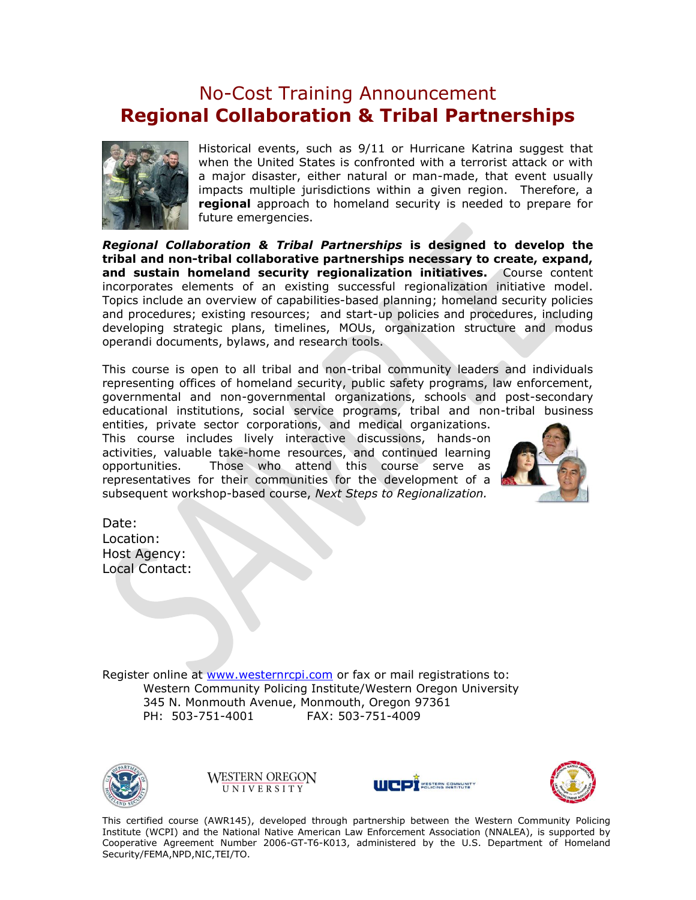## No-Cost Training Announcement **Regional Collaboration & Tribal Partnerships**



Historical events, such as 9/11 or Hurricane Katrina suggest that when the United States is confronted with a terrorist attack or with a major disaster, either natural or man-made, that event usually impacts multiple jurisdictions within a given region. Therefore, a **regional** approach to homeland security is needed to prepare for future emergencies.

*Regional Collaboration & Tribal Partnerships* **is designed to develop the tribal and non-tribal collaborative partnerships necessary to create, expand, and sustain homeland security regionalization initiatives.** Course content incorporates elements of an existing successful regionalization initiative model. Topics include an overview of capabilities-based planning; homeland security policies and procedures; existing resources; and start-up policies and procedures, including developing strategic plans, timelines, MOUs, organization structure and modus operandi documents, bylaws, and research tools.

This course is open to all tribal and non-tribal community leaders and individuals representing offices of homeland security, public safety programs, law enforcement, governmental and non-governmental organizations, schools and post-secondary educational institutions, social service programs, tribal and non-tribal business

entities, private sector corporations, and medical organizations. This course includes lively interactive discussions, hands-on activities, valuable take-home resources, and continued learning opportunities. Those who attend this course serve as representatives for their communities for the development of a subsequent workshop-based course, *Next Steps to Regionalization.*



Date: Location: Host Agency: Local Contact:

Register online at [www.westernrcpi.com](http://www.westernrcpi.com/) or fax or mail registrations to: Western Community Policing Institute/Western Oregon University 345 N. Monmouth Avenue, Monmouth, Oregon 97361 PH: 503-751-4001 FAX: 503-751-4009



**WESTERN OREGON** UNIVERSITY





This certified course (AWR145), developed through partnership between the Western Community Policing Institute (WCPI) and the National Native American Law Enforcement Association (NNALEA), is supported by Cooperative Agreement Number 2006-GT-T6-K013, administered by the U.S. Department of Homeland Security/FEMA,NPD,NIC,TEI/TO.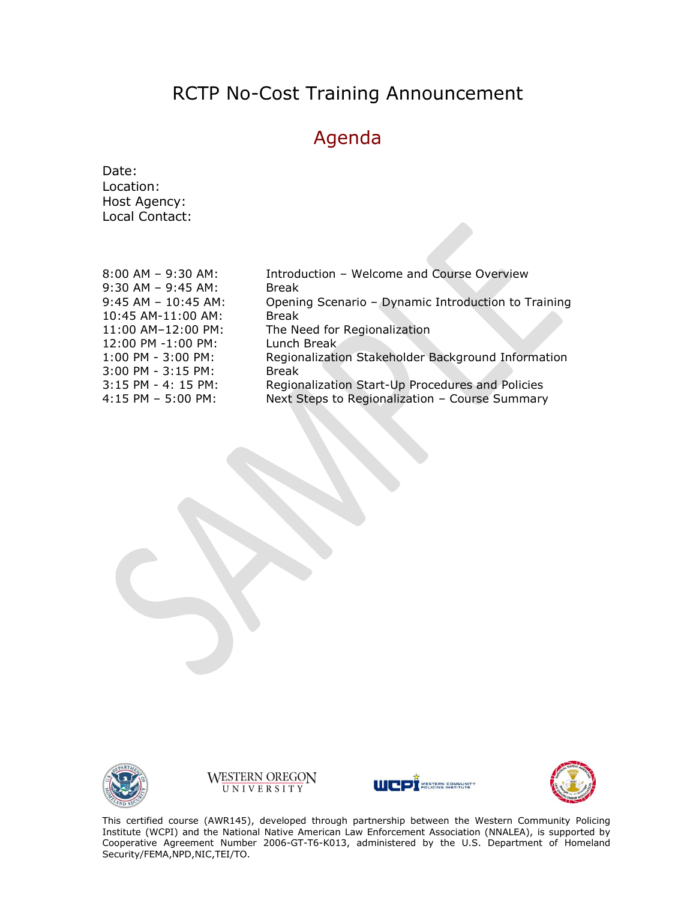## RCTP No-Cost Training Announcement

## Agenda

Date: Location: Host Agency: Local Contact:

| $8:00$ AM - 9:30 AM:   | Introduction - Welcome and Course Overview          |
|------------------------|-----------------------------------------------------|
| $9:30$ AM - $9:45$ AM: | <b>Break</b>                                        |
| $9:45$ AM - 10:45 AM:  | Opening Scenario - Dynamic Introduction to Training |
| 10:45 AM-11:00 AM:     | <b>Break</b>                                        |
| 11:00 AM-12:00 PM:     | The Need for Regionalization                        |
| 12:00 PM -1:00 PM:     | Lunch Break                                         |
| 1:00 PM - 3:00 PM:     | Regionalization Stakeholder Background Information  |
| 3:00 PM - 3:15 PM:     | <b>Break</b>                                        |
| 3:15 PM - 4: 15 PM:    | Regionalization Start-Up Procedures and Policies    |
| $4:15$ PM - 5:00 PM:   | Next Steps to Regionalization - Course Summary      |
|                        |                                                     |









This certified course (AWR145), developed through partnership between the Western Community Policing Institute (WCPI) and the National Native American Law Enforcement Association (NNALEA), is supported by Cooperative Agreement Number 2006-GT-T6-K013, administered by the U.S. Department of Homeland Security/FEMA,NPD,NIC,TEI/TO.